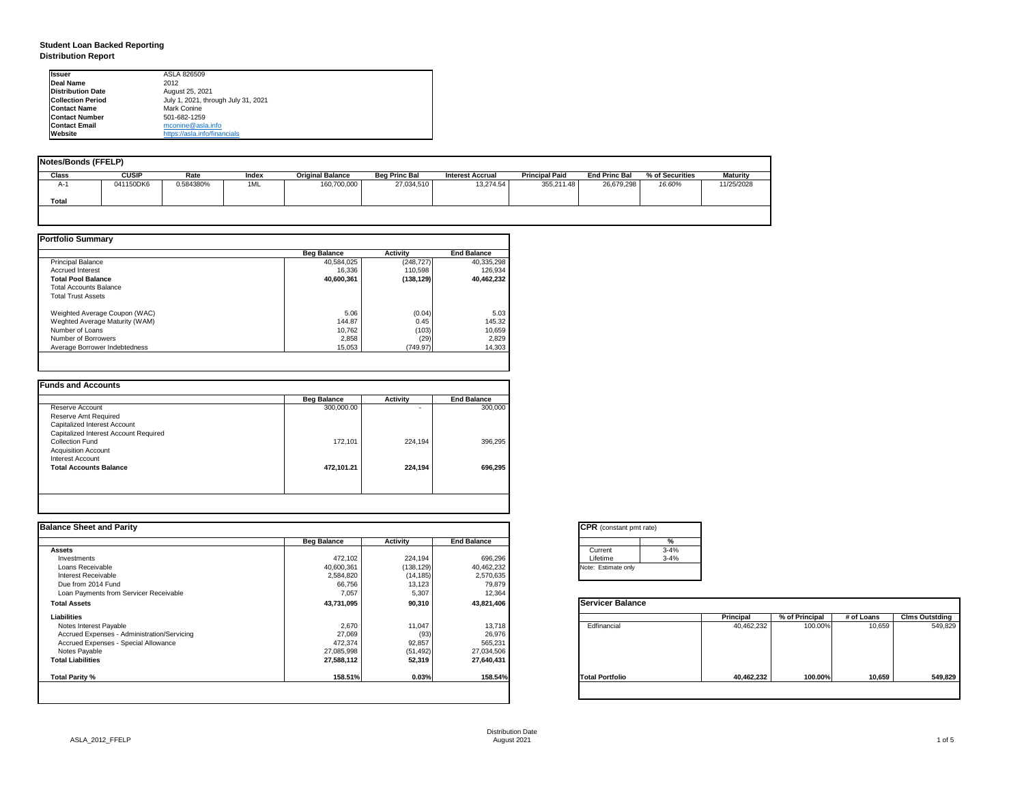# **Student Loan Backed Reporting Distribution Report**

| <b>Notes/Bonds (FFELP)</b> |              |           |       |                         |                      |                         |                       |                      |                 |                 |
|----------------------------|--------------|-----------|-------|-------------------------|----------------------|-------------------------|-----------------------|----------------------|-----------------|-----------------|
| <b>Class</b>               | <b>CUSIP</b> | Rate      | Index | <b>Original Balance</b> | <b>Beg Princ Bal</b> | <b>Interest Accrual</b> | <b>Principal Paid</b> | <b>End Princ Bal</b> | % of Securities | <b>Maturity</b> |
| A-1                        | 041150DK6    | 0.584380% | 1ML   | 160,700,000             | 27,034,510           | 13,274.54               | 355,211.48            | 26,679,298           | 16.60%          | 11/25/2028      |
| <b>Total</b>               |              |           |       |                         |                      |                         |                       |                      |                 |                 |
|                            |              |           |       |                         |                      |                         |                       |                      |                 |                 |

|                                | <b>Beg Balance</b> | <b>Activity</b> | <b>End Balance</b> |
|--------------------------------|--------------------|-----------------|--------------------|
| <b>Principal Balance</b>       | 40,584,025         | (248, 727)      | 40,335,298         |
| <b>Accrued Interest</b>        | 16,336             | 110,598         | 126,934            |
| <b>Total Pool Balance</b>      | 40,600,361         | (138, 129)      | 40,462,232         |
| <b>Total Accounts Balance</b>  |                    |                 |                    |
| <b>Total Trust Assets</b>      |                    |                 |                    |
| Weighted Average Coupon (WAC)  | 5.06               | (0.04)          | 5.03               |
| Weghted Average Maturity (WAM) | 144.87             | 0.45            | 145.32             |
| Number of Loans                | 10,762             | (103)           | 10,659             |
| Number of Borrowers            | 2,858              | (29)            | 2,829              |
| Average Borrower Indebtedness  | 15,053             | (749.97)        | 14,303             |

|                                       | <b>Beg Balance</b> | <b>Activity</b> | <b>End Balance</b> |
|---------------------------------------|--------------------|-----------------|--------------------|
| Reserve Account                       | 300,000.00         | -               | 300,000            |
| Reserve Amt Required                  |                    |                 |                    |
| <b>Capitalized Interest Account</b>   |                    |                 |                    |
| Capitalized Interest Account Required |                    |                 |                    |
| <b>Collection Fund</b>                | 172,101            | 224,194         | 396,295            |
| <b>Acquisition Account</b>            |                    |                 |                    |
| <b>Interest Account</b>               |                    |                 |                    |
| <b>Total Accounts Balance</b>         | 472,101.21         | 224,194         | 696,295            |
|                                       |                    |                 |                    |

| <b>Ilssuer</b>           | ASLA 826509                         |
|--------------------------|-------------------------------------|
| Deal Name                | 2012                                |
| <b>Distribution Date</b> | August 25, 2021                     |
| <b>Collection Period</b> | July 1, 2021, through July 31, 2021 |
| <b>IContact Name</b>     | Mark Conine                         |
| <b>Contact Number</b>    | 501-682-1259                        |
| <b>Contact Email</b>     | mconine@asla.info                   |
| <b>IWebsite</b>          | https://asla.info/financials        |

|                    |                 |                    | <b>CPR</b> (constant pmt rate) |                  |                           |            |                       |
|--------------------|-----------------|--------------------|--------------------------------|------------------|---------------------------|------------|-----------------------|
| <b>Beg Balance</b> | <b>Activity</b> | <b>End Balance</b> |                                |                  |                           |            |                       |
|                    |                 |                    | Current                        |                  |                           |            |                       |
| 472,102            | 224,194         | 696,296            | Lifetime                       |                  |                           |            |                       |
| 40,600,361         | (138, 129)      | 40,462,232         | Note: Estimate only            |                  |                           |            |                       |
| 2,584,820          | (14, 185)       | 2,570,635          |                                |                  |                           |            |                       |
|                    |                 | 79,879             |                                |                  |                           |            |                       |
| 7,057              | 5,307           | 12,364             |                                |                  |                           |            |                       |
| 43,731,095         | 90,310          | 43,821,406         | <b>Servicer Balance</b>        |                  |                           |            |                       |
|                    |                 |                    |                                | <b>Principal</b> | % of Principal            | # of Loans | <b>Clms Outstding</b> |
| 2,670              | 11,047          | 13,718             | Edfinancial                    | 40,462,232       | 100.00%                   | 10,659     | 549,829               |
| 27,069             | (93)            | 26,976             |                                |                  |                           |            |                       |
| 472,374            | 92,857          | 565,231            |                                |                  |                           |            |                       |
| 27,085,998         | (51, 492)       | 27,034,506         |                                |                  |                           |            |                       |
| 27,588,112         | 52,319          | 27,640,431         |                                |                  |                           |            |                       |
| 158.51%            | 0.03%           | 158.54%            | <b>Total Portfolio</b>         | 40,462,232       | 100.00%                   | 10,659     | 549,829               |
|                    | 66,756          | 13,123             |                                |                  | %<br>$3 - 4%$<br>$3 - 4%$ |            |                       |



| tant pmt rate) |          |  |
|----------------|----------|--|
|                | %        |  |
|                | $3 - 4%$ |  |
|                | $3 - 4%$ |  |
| te only        |          |  |
|                |          |  |

| <b>Balance</b> |                  |                |            |                       |
|----------------|------------------|----------------|------------|-----------------------|
|                | <b>Principal</b> | % of Principal | # of Loans | <b>Clms Outstding</b> |
| al             | 40,462,232       | 100.00%        | 10,659     | 549,829               |
| oilo           | 40,462,232       | 100.00%        | 10,659     | 549,829               |
|                |                  |                |            |                       |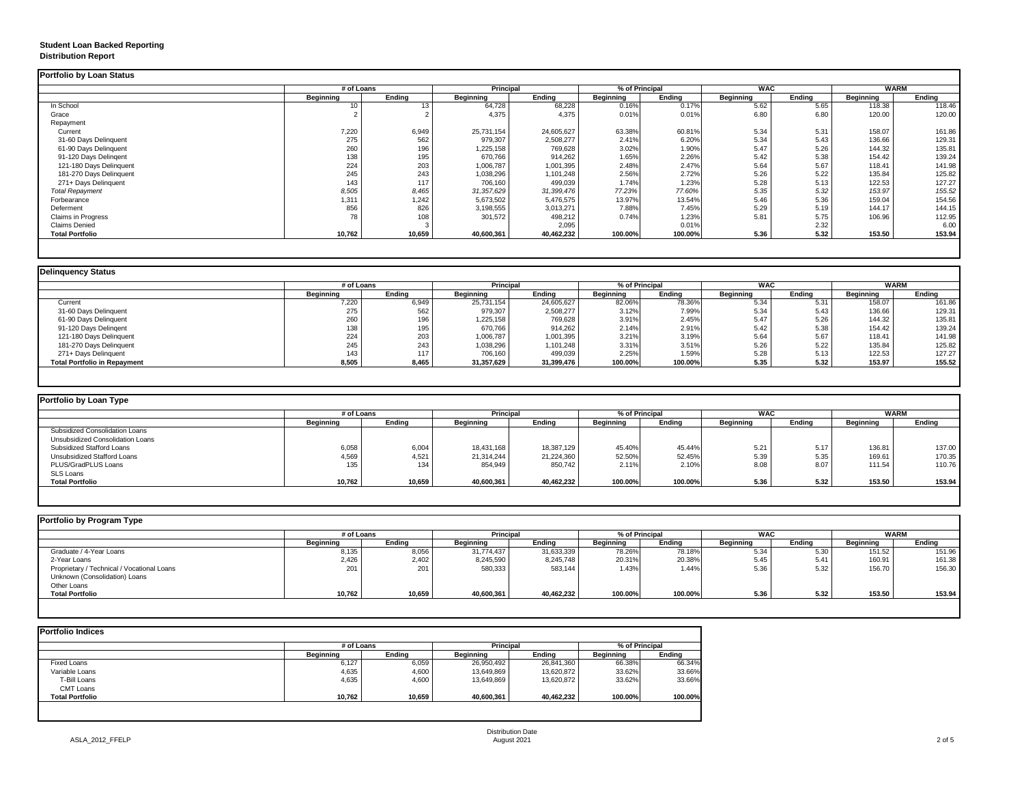## **Student Loan Backed Reporting Distribution Report**

### **Delinquency Status**

| <b>Portfolio by Loan Status</b> |                  |               |                  |               |                  |                |                  |               |                  |               |
|---------------------------------|------------------|---------------|------------------|---------------|------------------|----------------|------------------|---------------|------------------|---------------|
|                                 | # of Loans       |               | <b>Principal</b> |               |                  | % of Principal | <b>WAC</b>       |               | <b>WARM</b>      |               |
|                                 | <b>Beginning</b> | <b>Ending</b> | <b>Beginning</b> | <b>Ending</b> | <b>Beginning</b> | <b>Ending</b>  | <b>Beginning</b> | <b>Ending</b> | <b>Beginning</b> | <b>Ending</b> |
| In School                       | 10               |               | 64,728           | 68,228        | 0.16%            | 0.17%          | 5.62             | 5.65          | 118.38           | 118.46        |
| Grace                           |                  |               | 4,375            | 4,375         | 0.01%            | 0.01%          | 6.80             | 6.80          | 120.00           | 120.00        |
| Repayment                       |                  |               |                  |               |                  |                |                  |               |                  |               |
| Current                         | 7,220            | 6,949         | 25,731,154       | 24,605,627    | 63.38%           | 60.81%         | 5.34             | 5.31          | 158.07           | 161.86        |
| 31-60 Days Delinquent           | 275              | 562           | 979,307          | 2,508,277     | 2.41%            | 6.20%          | 5.34             | 5.43          | 136.66           | 129.31        |
| 61-90 Days Delinquent           | 260              | 196           | 1,225,158        | 769,628       | 3.02%            | 1.90%          | 5.47             | 5.26          | 144.32           | 135.81        |
| 91-120 Days Delingent           | 138              | 195           | 670,766          | 914,262       | 1.65%            | 2.26%          | 5.42             | 5.38          | 154.42           | 139.24        |
| 121-180 Days Delinquent         | 224              | 203           | 1,006,787        | 1,001,395     | 2.48%            | 2.47%          | 5.64             | 5.67          | 118.41           | 141.98        |
| 181-270 Days Delinquent         | 245              | 243           | 1,038,296        | 1,101,248     | 2.56%            | 2.72%          | 5.26             | 5.22          | 135.84           | 125.82        |
| 271+ Days Delinquent            | 143              | 117           | 706,160          | 499,039       | 1.74%            | 1.23%          | 5.28             | 5.13          | 122.53           | 127.27        |
| <b>Total Repayment</b>          | 8,505            | 8,465         | 31,357,629       | 31,399,476    | 77.23%           | 77.60%         | 5.35             | 5.32          | 153.97           | 155.52        |
| Forbearance                     | 1,311            | 1,242         | 5,673,502        | 5,476,575     | 13.97%           | 13.54%         | 5.46             | 5.36          | 159.04           | 154.56        |
| Deferment                       | 856              | 826           | 3,198,555        | 3,013,271     | 7.88%            | 7.45%          | 5.29             | 5.19          | 144.17           | 144.15        |
| <b>Claims in Progress</b>       | 78               | 108           | 301,572          | 498,212       | 0.74%            | 1.23%          | 5.81             | 5.75          | 106.96           | 112.95        |
| <b>Claims Denied</b>            |                  |               |                  | 2,095         |                  | 0.01%          |                  | 2.32          |                  | 6.00          |
| <b>Total Portfolio</b>          | 10,762           | 10,659        | 40,600,361       | 40,462,232    | 100.00%          | 100.00%        | 5.36             | 5.32          | 153.50           | 153.94        |
|                                 |                  |               |                  |               |                  |                |                  |               |                  |               |

|                                     | # of Loans       |        | <b>Principal</b> |               | % of Principal   |               | <b>WAC</b>       |        | <b>WARM</b>      |               |
|-------------------------------------|------------------|--------|------------------|---------------|------------------|---------------|------------------|--------|------------------|---------------|
|                                     | <b>Beginning</b> | Ending | <b>Beginning</b> | <b>Ending</b> | <b>Beginning</b> | <b>Ending</b> | <b>Beginning</b> | Ending | <b>Beginning</b> | <b>Ending</b> |
| Current                             | 7,220            | 6,949  | 25,731,154       | 24,605,627    | 82.06%           | 78.36%        | 5.34             | 5.31   | 158.07           | 161.86        |
| 31-60 Days Delinquent               | 275              | 562    | 979,307          | 2,508,277     | 3.12%            | 7.99%         | 5.34             | 5.43   | 136.66           | 129.31        |
| 61-90 Days Delinquent               | 260              | 196    | 1,225,158        | 769,628       | 3.91%            | 2.45%         | 5.47             | 5.26   | 144.32           | 135.81        |
| 91-120 Days Delinqent               | 138              | 195    | 670,766          | 914,262       | 2.14%            | 2.91%         | 5.42             | 5.38   | 154.42           | 139.24        |
| 121-180 Days Delinquent             | 224              | 203    | 1,006,787        | 1,001,395     | 3.21%            | 3.19%         | 5.64             | 5.67   | 118.41           | 141.98        |
| 181-270 Days Delinquent             | 245              | 243    | 1,038,296        | 1,101,248     | 3.31%            | 3.51%         | 5.26             | 5.22   | 135.84           | 125.82        |
| 271+ Days Delinquent                | 143              | 117    | 706,160          | 499,039       | 2.25%            | 1.59%         | 5.28             | 5.13   | 122.53           | 127.27        |
| <b>Total Portfolio in Repayment</b> | 8,505            | 8,465  | 31,357,629       | 31,399,476    | 100.00%          | 100.00%       | 5.35             | 5.32   | 153.97           | 155.52        |

| <b>Portfolio by Loan Type</b>           |                  |               |                  |               |                  |               |                  |               |                  |               |
|-----------------------------------------|------------------|---------------|------------------|---------------|------------------|---------------|------------------|---------------|------------------|---------------|
|                                         | # of Loans       |               | <b>Principal</b> |               | % of Principal   |               | <b>WAC</b>       |               | <b>WARM</b>      |               |
|                                         | <b>Beginning</b> | <b>Ending</b> | <b>Beginning</b> | <b>Ending</b> | <b>Beginning</b> | <b>Ending</b> | <b>Beginning</b> | <b>Ending</b> | <b>Beginning</b> | <b>Ending</b> |
| <b>Subsidized Consolidation Loans</b>   |                  |               |                  |               |                  |               |                  |               |                  |               |
| <b>Unsubsidized Consolidation Loans</b> |                  |               |                  |               |                  |               |                  |               |                  |               |
| <b>Subsidized Stafford Loans</b>        | 6,058            | 6,004         | 18,431,168       | 18,387,129    | 45.40%           | 45.44%        | 5.21             | 5.17          | 136.81           | 137.00        |
| <b>Unsubsidized Stafford Loans</b>      | 4,569            | 4,521         | 21,314,244       | 21,224,360    | 52.50%           | 52.45%        | 5.39             | 5.35          | 169.61           | 170.35        |
| <b>PLUS/GradPLUS Loans</b>              | 135              | 134           | 854,949          | 850,742       | 2.11%            | 2.10%         | 8.08             | 8.07          | 111.54           | 110.76        |
| <b>SLS Loans</b>                        |                  |               |                  |               |                  |               |                  |               |                  |               |
| <b>Total Portfolio</b>                  | 10,762           | 10,659        | 40,600,361       | 40,462,232    | 100.00%          | 100.00%       | 5.36             | 5.32          | 153.50           | 153.94        |

| Portfolio by Program Type                  |                  |               |                  |               |                  |               |                  |               |                  |               |
|--------------------------------------------|------------------|---------------|------------------|---------------|------------------|---------------|------------------|---------------|------------------|---------------|
|                                            | # of Loans       |               | <b>Principal</b> |               | % of Principal   |               | <b>WAC</b>       |               |                  | <b>WARM</b>   |
|                                            | <b>Beginning</b> | <b>Ending</b> | <b>Beginning</b> | <b>Ending</b> | <b>Beginning</b> | <b>Ending</b> | <b>Beginning</b> | <b>Ending</b> | <b>Beginning</b> | <b>Ending</b> |
| Graduate / 4-Year Loans                    | 8,135            | 8,056         | 31,774,437       | 31,633,339    | 78.26%           | 78.18%        | 5.34             | 5.30          | 151.52           | 151.96        |
| 2-Year Loans                               | 2,426            | 2,402         | 8,245,590        | 8,245,748     | 20.31%           | 20.38%        | 5.45             | 5.41          | 160.91           | 161.38        |
| Proprietary / Technical / Vocational Loans | 201              | 201           | 580,333          | 583,144       | 1.43%            | 1.44%         | 5.36             | 5.32          | 156.70           | 156.30        |
| Unknown (Consolidation) Loans              |                  |               |                  |               |                  |               |                  |               |                  |               |
| Other Loans                                |                  |               |                  |               |                  |               |                  |               |                  |               |
| <b>Total Portfolio</b>                     | 10,762           | 10,659        | 40,600,361       | 40,462,232    | 100.00%          | 100.00%       | 5.36             | 5.32          | 153.50           | 153.94        |
|                                            |                  |               |                  |               |                  |               |                  |               |                  |               |

|                        |                  | # of Loans    |                  |               | % of Principal   |               |  |
|------------------------|------------------|---------------|------------------|---------------|------------------|---------------|--|
|                        | <b>Beginning</b> | <b>Ending</b> | <b>Beginning</b> | <b>Ending</b> | <b>Beginning</b> | <b>Ending</b> |  |
| <b>Fixed Loans</b>     | 6,127            | 6,059         | 26,950,492       | 26,841,360    | 66.38%           | 66.34%        |  |
| Variable Loans         | 4,635            | 4,600         | 13,649,869       | 13,620,872    | 33.62%           | 33.66%        |  |
| T-Bill Loans           | 4,635            | 4,600         | 13,649,869       | 13,620,872    | 33.62%           | 33.66%        |  |
| <b>CMT Loans</b>       |                  |               |                  |               |                  |               |  |
| <b>Total Portfolio</b> | 10,762           | 10,659        | 40,600,361       | 40,462,232    | 100.00%          | 100.00%       |  |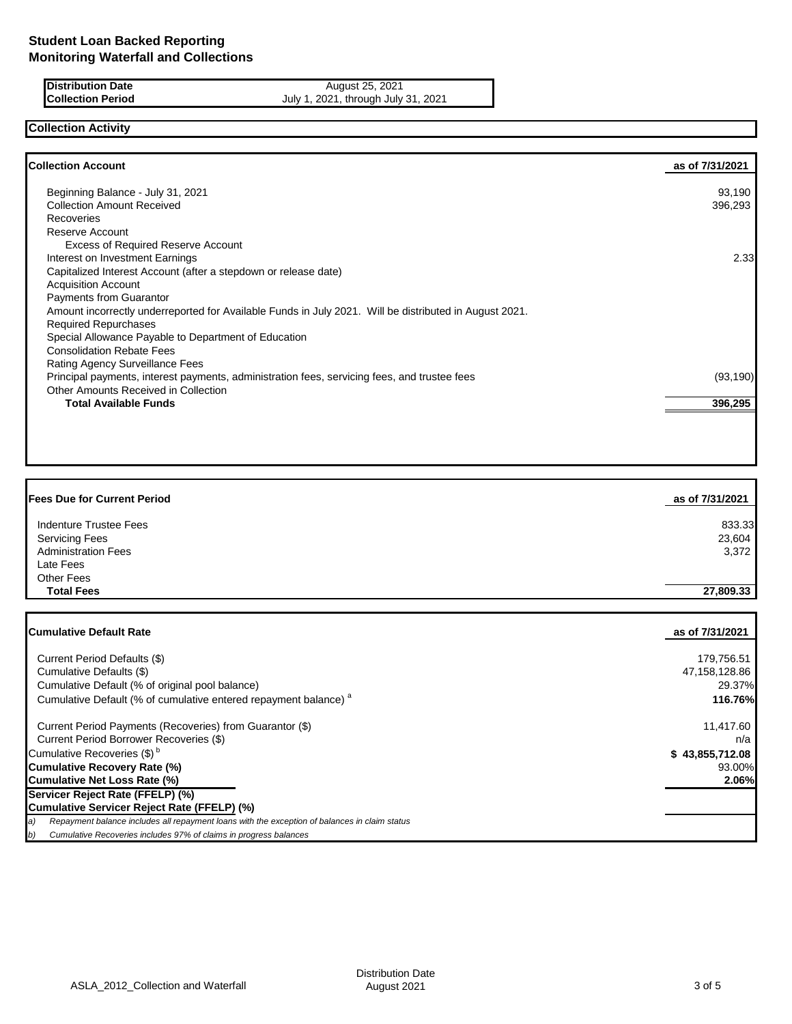**Distribution Date August 25, 2021 Collection Period** July 1, 2021, through July 31, 2021

# **Collection Activity**

| <b>Collection Account</b>                                                                              | as of 7/31/2021 |
|--------------------------------------------------------------------------------------------------------|-----------------|
| Beginning Balance - July 31, 2021                                                                      | 93,190          |
| <b>Collection Amount Received</b>                                                                      | 396,293         |
| Recoveries                                                                                             |                 |
| Reserve Account                                                                                        |                 |
| <b>Excess of Required Reserve Account</b>                                                              |                 |
| Interest on Investment Earnings                                                                        | 2.33            |
| Capitalized Interest Account (after a stepdown or release date)                                        |                 |
| <b>Acquisition Account</b>                                                                             |                 |
| <b>Payments from Guarantor</b>                                                                         |                 |
| Amount incorrectly underreported for Available Funds in July 2021. Will be distributed in August 2021. |                 |
| <b>Required Repurchases</b>                                                                            |                 |
| Special Allowance Payable to Department of Education                                                   |                 |
| <b>Consolidation Rebate Fees</b>                                                                       |                 |
| <b>Rating Agency Surveillance Fees</b>                                                                 |                 |
| Principal payments, interest payments, administration fees, servicing fees, and trustee fees           | (93, 190)       |
| Other Amounts Received in Collection                                                                   |                 |
| <b>Total Available Funds</b>                                                                           | 396,295         |

| <b>Fees Due for Current Period</b> | as of 7/31/2021 |
|------------------------------------|-----------------|
| <b>Indenture Trustee Fees</b>      | 833.33          |
| <b>Servicing Fees</b>              | 23,604          |
| <b>Administration Fees</b>         | 3,372           |
| Late Fees                          |                 |
| Other Fees                         |                 |
| <b>Total Fees</b>                  | 27,809.33       |
|                                    |                 |
|                                    |                 |

| <b>Cumulative Default Rate</b>                                                                      | as of 7/31/2021 |
|-----------------------------------------------------------------------------------------------------|-----------------|
| Current Period Defaults (\$)                                                                        | 179,756.51      |
| Cumulative Defaults (\$)                                                                            | 47,158,128.86   |
| Cumulative Default (% of original pool balance)                                                     | 29.37%          |
| Cumulative Default (% of cumulative entered repayment balance) <sup>a</sup>                         | 116.76%         |
| Current Period Payments (Recoveries) from Guarantor (\$)                                            | 11,417.60       |
| Current Period Borrower Recoveries (\$)                                                             | n/a             |
| Cumulative Recoveries (\$) <sup>b</sup>                                                             | \$43,855,712.08 |
| Cumulative Recovery Rate (%)                                                                        | 93.00%          |
| Cumulative Net Loss Rate (%)                                                                        | 2.06%           |
| Servicer Reject Rate (FFELP) (%)                                                                    |                 |
| Cumulative Servicer Reject Rate (FFELP) (%)                                                         |                 |
| Repayment balance includes all repayment loans with the exception of balances in claim status<br>a) |                 |
| Cumulative Recoveries includes 97% of claims in progress balances<br>b)                             |                 |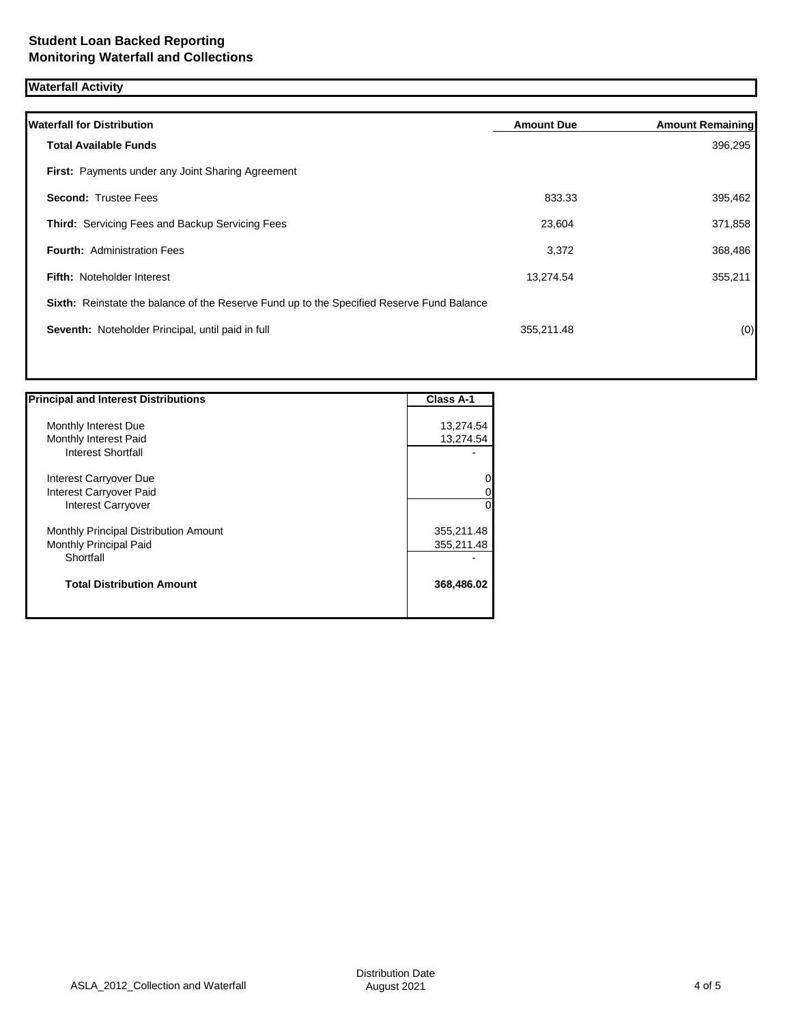## **Waterfall Activity**

| <b>Amount Due</b>                                                                         | <b>Amount Remaining</b> |
|-------------------------------------------------------------------------------------------|-------------------------|
|                                                                                           | 396,295                 |
|                                                                                           |                         |
| 833.33                                                                                    | 395,462                 |
| 23,604                                                                                    | 371,858                 |
| 3,372                                                                                     | 368,486                 |
| 13,274.54                                                                                 | 355,211                 |
| Sixth: Reinstate the balance of the Reserve Fund up to the Specified Reserve Fund Balance |                         |
| 355,211.48                                                                                | (0)                     |
|                                                                                           |                         |
|                                                                                           |                         |

| <b>Principal and Interest Distributions</b> | <b>Class A-1</b> |
|---------------------------------------------|------------------|
|                                             |                  |
| Monthly Interest Due                        | 13,274.54        |
| Monthly Interest Paid                       | 13,274.54        |
| Interest Shortfall                          |                  |
| Interest Carryover Due                      | 0                |
| Interest Carryover Paid                     | 0                |
| <b>Interest Carryover</b>                   | $\Omega$         |
| Monthly Principal Distribution Amount       | 355,211.48       |
| Monthly Principal Paid                      | 355,211.48       |
| Shortfall                                   |                  |
| <b>Total Distribution Amount</b>            | 368,486.02       |
|                                             |                  |